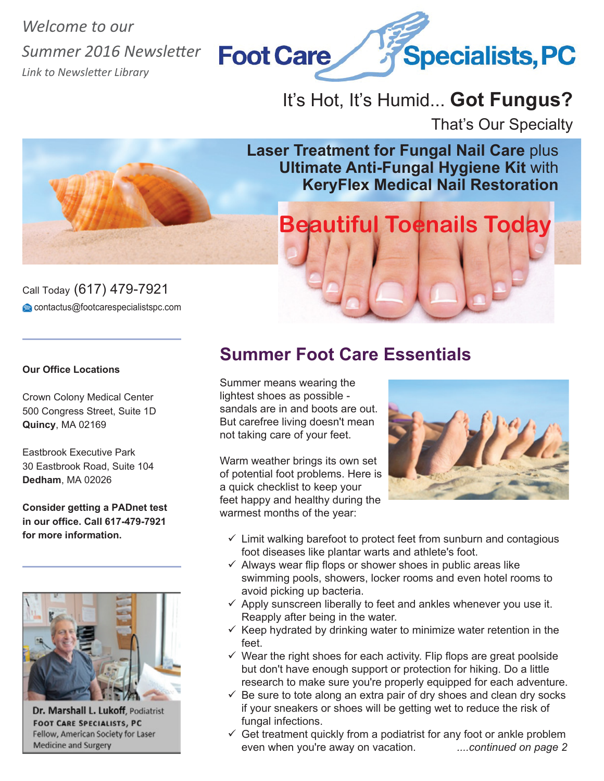*Welcome to our Summer 2016 Newsletter Link to Newsletter Library*



# It's Hot, It's Humid... **Got Fungus?**

That's Our Specialty

**Laser Treatment for Fungal Nail Care** plus **Ultimate Anti-Fungal Hygiene Kit** with **KeryFlex Medical Nail Restoration**

**Beautiful Toenails Today**

### Call Today (617) 479-7921 contactus@footcarespecialistspc.com

#### **Our Office Locations**

Crown Colony Medical Center 500 Congress Street, Suite 1D **Quincy**, MA 02169

Eastbrook Executive Park 30 Eastbrook Road, Suite 104 **Dedham**, MA 02026

**Consider getting a PADnet test in our office. Call 617-479-7921 for more information.**



Dr. Marshall L. Lukoff, Podiatrist **FOOT CARE SPECIALISTS, PC** Fellow, American Society for Laser **Medicine and Surgery** 

## **Summer Foot Care Essentials**

Summer means wearing the lightest shoes as possible sandals are in and boots are out. But carefree living doesn't mean not taking care of your feet.

Warm weather brings its own set of potential foot problems. Here is a quick checklist to keep your feet happy and healthy during the warmest months of the year:



- $\checkmark$  Limit walking barefoot to protect feet from sunburn and contagious foot diseases like plantar warts and athlete's foot.
- $\checkmark$  Always wear flip flops or shower shoes in public areas like swimming pools, showers, locker rooms and even hotel rooms to avoid picking up bacteria.
- $\checkmark$  Apply sunscreen liberally to feet and ankles whenever you use it. Reapply after being in the water.
- $\checkmark$  Keep hydrated by drinking water to minimize water retention in the feet.
- $\checkmark$  Wear the right shoes for each activity. Flip flops are great poolside but don't have enough support or protection for hiking. Do a little research to make sure you're properly equipped for each adventure.
- $\checkmark$  Be sure to tote along an extra pair of dry shoes and clean dry socks if your sneakers or shoes will be getting wet to reduce the risk of fungal infections.
- $\checkmark$  Get treatment quickly from a podiatrist for any foot or ankle problem even when you're away on vacation. *....continued on page 2*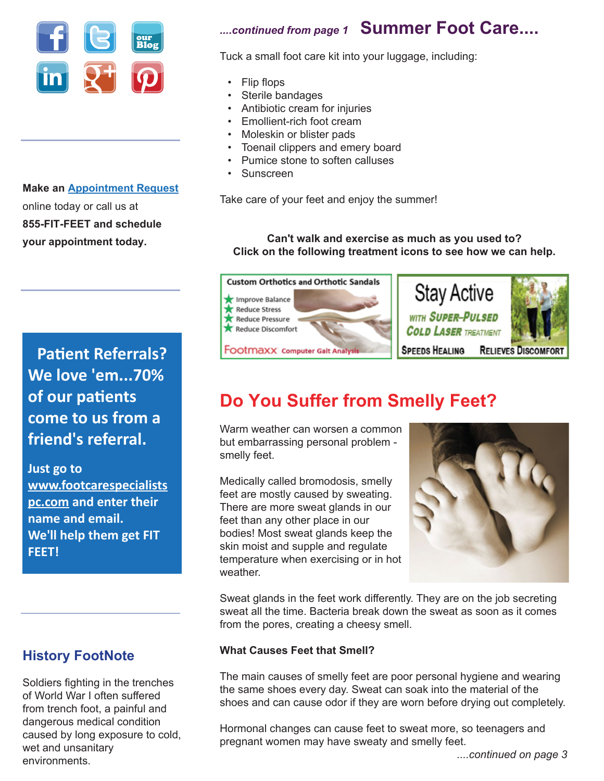

**Make an Appointment Request** online today or call us at **855-FIT-FEET and schedule your appointment today.**

# **Patient Referrals? We love 'em...70% of our patients come to us from a friend's referral.**

**Just go to www.footcarespecialists pc.com and enter their name and email. We'll help them get FIT FEET!**

## **History FootNote**

Soldiers fighting in the trenches of World War I often suffered from trench foot, a painful and dangerous medical condition caused by long exposure to cold, wet and unsanitary environments.

# *....continued from page 1* **Summer Foot Care....**

Tuck a small foot care kit into your luggage, including:

- Flip flops
- Sterile bandages
- Antibiotic cream for injuries
- Emollient-rich foot cream
- Moleskin or blister pads
- Toenail clippers and emery board
- Pumice stone to soften calluses
- Sunscreen

Take care of your feet and enjoy the summer!

#### **Can't walk and exercise as much as you used to? Click on the following treatment icons to see how we can help.**



# **Do You Suffer from Smelly Feet?**

Warm weather can worsen a common but embarrassing personal problem smelly feet.

Medically called bromodosis, smelly feet are mostly caused by sweating. There are more sweat glands in our feet than any other place in our bodies! Most sweat glands keep the skin moist and supple and regulate temperature when exercising or in hot weather.



Sweat glands in the feet work differently. They are on the job secreting sweat all the time. Bacteria break down the sweat as soon as it comes from the pores, creating a cheesy smell.

#### **What Causes Feet that Smell?**

The main causes of smelly feet are poor personal hygiene and wearing the same shoes every day. Sweat can soak into the material of the shoes and can cause odor if they are worn before drying out completely.

Hormonal changes can cause feet to sweat more, so teenagers and pregnant women may have sweaty and smelly feet.

 *....continued on page 3*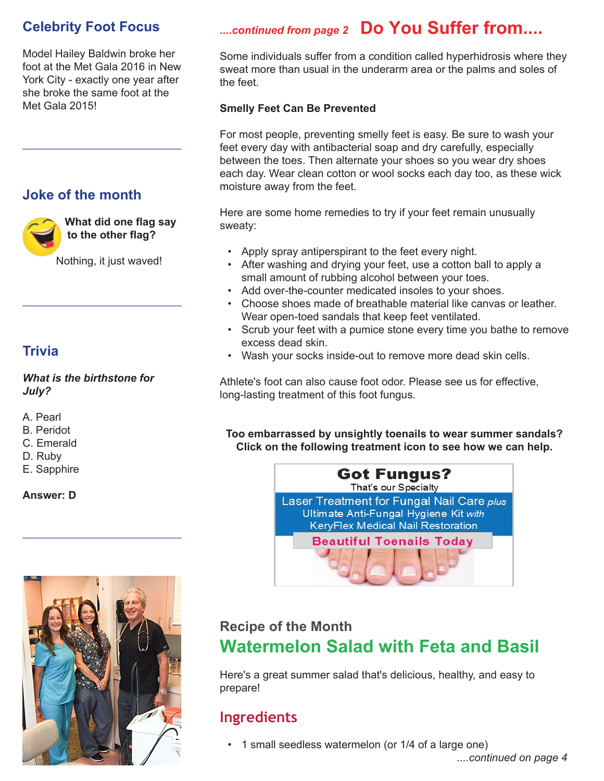## **Celebrity Foot Focus**

Model Hailey Baldwin broke her foot at the Met Gala 2016 in New York City - exactly one year after she broke the same foot at the Met Gala 2015!

## **Joke of the month**



**What did one flag say to the other flag?**

Nothing, it just waved!

## **Trivia**

#### *What is the birthstone for July?*

- A. Pearl
- B. Peridot
- C. Emerald
- D. Ruby
- E. Sapphire

#### **Answer: D**



# *....continued from page 2* **Do You Suffer from....**

Some individuals suffer from a condition called hyperhidrosis where they sweat more than usual in the underarm area or the palms and soles of the feet.

## **Smelly Feet Can Be Prevented**

For most people, preventing smelly feet is easy. Be sure to wash your feet every day with antibacterial soap and dry carefully, especially between the toes. Then alternate your shoes so you wear dry shoes each day. Wear clean cotton or wool socks each day too, as these wick moisture away from the feet.

Here are some home remedies to try if your feet remain unusually sweaty:

- Apply spray antiperspirant to the feet every night.
- After washing and drying your feet, use a cotton ball to apply a small amount of rubbing alcohol between your toes.
- Add over-the-counter medicated insoles to your shoes.
- Choose shoes made of breathable material like canvas or leather. Wear open-toed sandals that keep feet ventilated.
- Scrub your feet with a pumice stone every time you bathe to remove excess dead skin.
- Wash your socks inside-out to remove more dead skin cells.

Athlete's foot can also cause foot odor. Please see us for effective, long-lasting treatment of this foot fungus.

**Too embarrassed by unsightly toenails to wear summer sandals? Click on the following treatment icon to see how we can help.** 



## **Recipe of the Month Watermelon Salad with Feta and Basil**

Here's a great summer salad that's delicious, healthy, and easy to prepare!

## **Ingredients**

• 1 small seedless watermelon (or 1/4 of a large one)